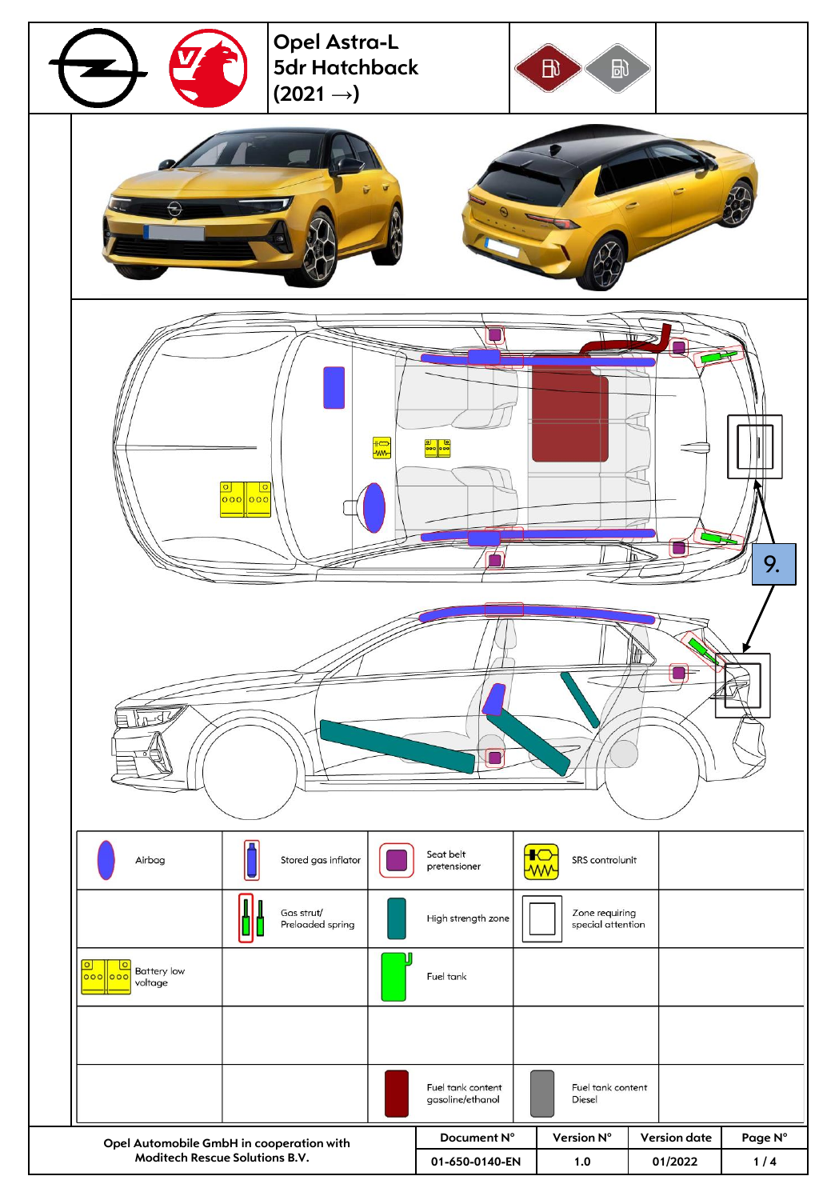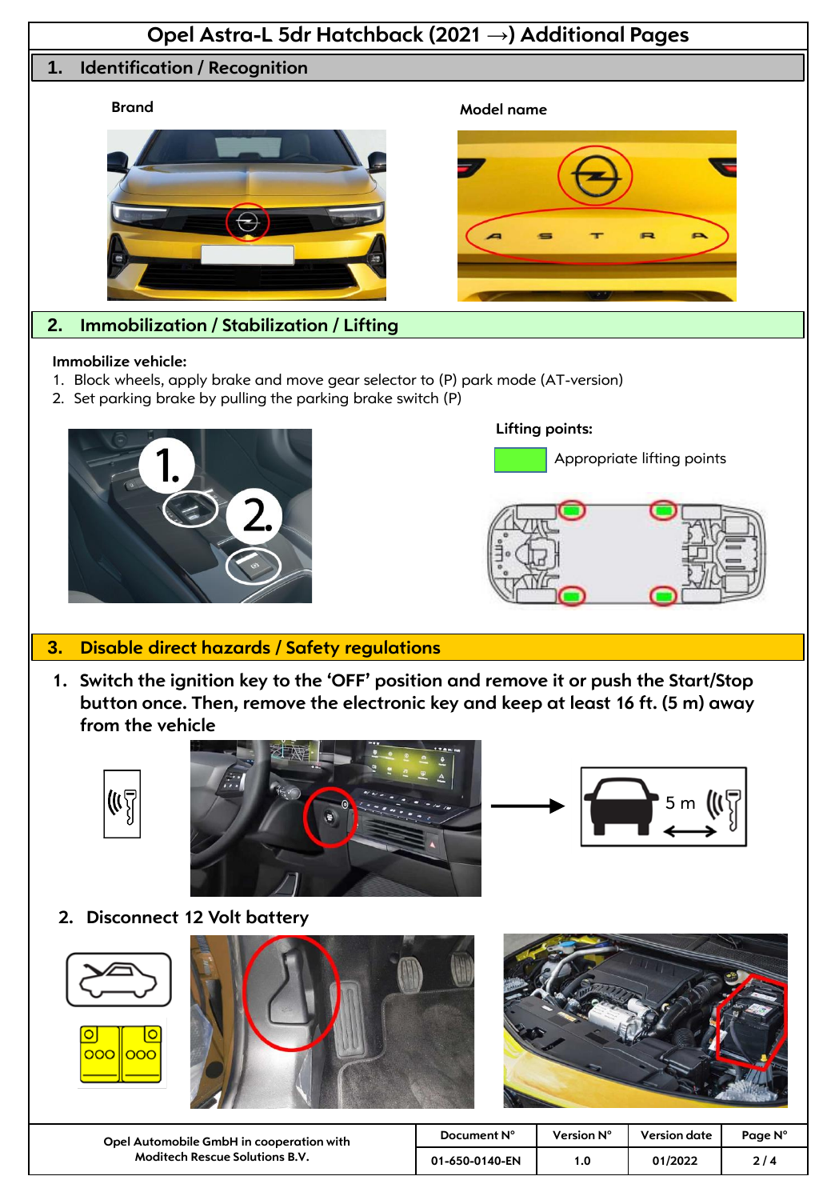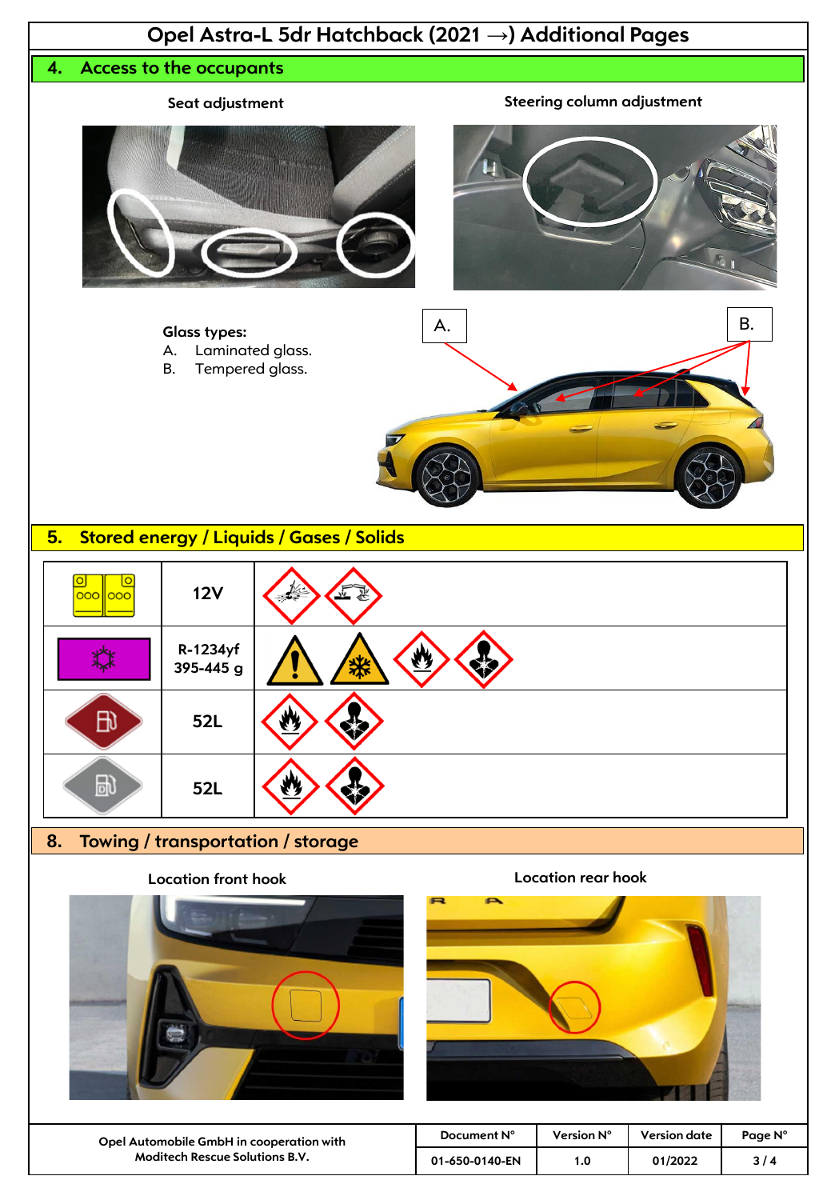